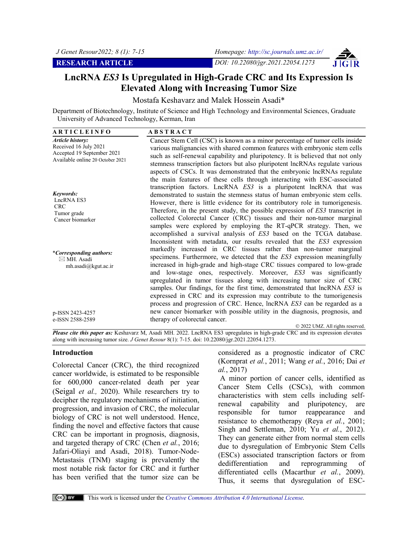**RESEARCH ARTICLE** *DOI: 10.22080/jgr.2021.22054.1273*



Mostafa Keshavarz and Malek Hossein Asadi\*

Department of Biotechnology, Institute of Science and High Technology and Environmental Sciences, Graduate University of Advanced Technology, Kerman, Iran

| <b>ARTICLEINFO</b>                                                                                                 | <b>ABSTRACT</b>                                                                                                                                                                                                                                                                                                                                                                                                                                                                                                                                                                                                                                                                      |
|--------------------------------------------------------------------------------------------------------------------|--------------------------------------------------------------------------------------------------------------------------------------------------------------------------------------------------------------------------------------------------------------------------------------------------------------------------------------------------------------------------------------------------------------------------------------------------------------------------------------------------------------------------------------------------------------------------------------------------------------------------------------------------------------------------------------|
| <b>Article history:</b><br>Received 16 July 2021<br>Accepted 19 September 2021<br>Available online 20 October 2021 | Cancer Stem Cell (CSC) is known as a minor percentage of tumor cells inside<br>various malignancies with shared common features with embryonic stem cells<br>such as self-renewal capability and pluripotency. It is believed that not only<br>stemness transcription factors but also pluripotent lncRNAs regulate various<br>aspects of CSCs. It was demonstrated that the embryonic lncRNAs regulate                                                                                                                                                                                                                                                                              |
| Keywords:<br>LncRNA ES3<br><b>CRC</b><br>Tumor grade<br>Cancer biomarker                                           | the main features of these cells through interacting with ESC-associated<br>transcription factors. LncRNA ES3 is a pluripotent lncRNA that was<br>demonstrated to sustain the stemness status of human embryonic stem cells.<br>However, there is little evidence for its contributory role in tumorigenesis.<br>Therefore, in the present study, the possible expression of ES3 transcript in<br>collected Colorectal Cancer (CRC) tissues and their non-tumor marginal<br>samples were explored by employing the RT-qPCR strategy. Then, we<br>accomplished a survival analysis of ES3 based on the TCGA database.                                                                 |
| <i>*Corresponding authors:</i><br>$\boxtimes$ MH. Asadi<br>mh.asadi@kgut.ac.ir                                     | Inconsistent with metadata, our results revealed that the ES3 expression<br>markedly increased in CRC tissues rather than non-tumor marginal<br>specimens. Furthermore, we detected that the ES3 expression meaningfully<br>increased in high-grade and high-stage CRC tissues compared to low-grade<br>and low-stage ones, respectively. Moreover, ES3 was significantly<br>upregulated in tumor tissues along with increasing tumor size of CRC<br>samples. Our findings, for the first time, demonstrated that lncRNA ES3 is<br>expressed in CRC and its expression may contribute to the tumorigenesis<br>process and progression of CRC. Hence, lncRNA ES3 can be regarded as a |
| p-ISSN 2423-4257                                                                                                   | new cancer biomarker with possible utility in the diagnosis, prognosis, and                                                                                                                                                                                                                                                                                                                                                                                                                                                                                                                                                                                                          |
| e-ISSN 2588-2589                                                                                                   | therapy of colorectal cancer.<br>© 2022 UMZ. All rights reserved.                                                                                                                                                                                                                                                                                                                                                                                                                                                                                                                                                                                                                    |
| $m = 1, m = 1, n = 1$<br>$TZ = 1$                                                                                  | $\overline{M}$ $\overline{M}$ $\overline{M}$ $\overline{M}$ $\overline{M}$ $\overline{M}$ $\overline{M}$ $\overline{M}$ $\overline{M}$ $\overline{M}$ $\overline{M}$ $\overline{M}$ $\overline{M}$ $\overline{M}$ $\overline{M}$ $\overline{M}$ $\overline{M}$ $\overline{M}$ $\overline{M}$ $\overline{M}$ $\overline{M}$ $\overline{M}$ $\overline{M}$ $\overline{M}$ $\overline{$                                                                                                                                                                                                                                                                                                 |

*Please cite this paper as:* Keshavarz M, Asadi MH. 2022. LncRNA ES3 upregulates in high-grade CRC and its expression elevates along with increasing tumor size. *J Genet Resour* 8(1): 7-15. doi: 10.22080/jgr.2021.22054.1273.

#### **Introduction**

Colorectal Cancer (CRC), the third recognized cancer worldwide, is estimated to be responsible for 600,000 cancer-related death per year (Seigal *et al.,* 2020). While researchers try to decipher the regulatory mechanisms of initiation, progression, and invasion of CRC, the molecular biology of CRC is not well understood. Hence, finding the novel and effective factors that cause CRC can be important in prognosis, diagnosis, and targeted therapy of CRC (Chen *et al.*, 2016; Jafari-Oliayi and Asadi, 2018). Tumor-Node-Metastasis (TNM) staging is prevalently the most notable risk factor for CRC and it further has been verified that the tumor size can be

considered as a prognostic indicator of CRC (Kornprat *et al.*, 2011; Wang *et al.*, 2016; Dai *et al.*, 2017)

A minor portion of cancer cells, identified as Cancer Stem Cells (CSCs), with common characteristics with stem cells including selfrenewal capability and pluripotency, are responsible for tumor reappearance and resistance to chemotherapy (Reya *et al.*, 2001; Singh and Settleman, 2010; Yu *et al.*, 2012). They can generate either from normal stem cells due to dysregulation of Embryonic Stem Cells (ESCs) associated transcription factors or from dedifferentiation and reprogramming of differentiated cells (Macarthur *et al.*, 2009). Thus, it seems that dysregulation of ESC-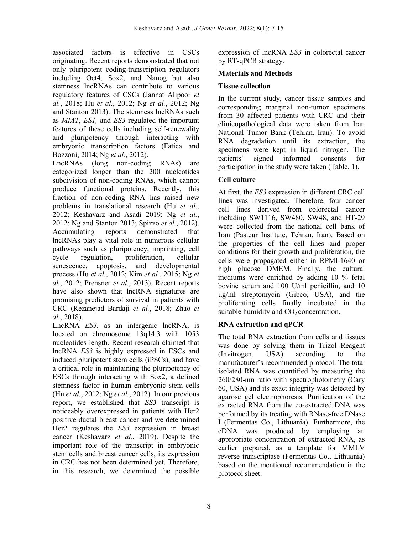associated factors is effective in CSCs originating. Recent reports demonstrated that not only pluripotent coding-transcription regulators including Oct4, Sox2, and Nanog but also stemness lncRNAs can contribute to various regulatory features of CSCs (Jannat Alipoor *et al.*, 2018; Hu *et al.*, 2012; Ng *et al.*, 2012; Ng and Stanton 2013). The stemness lncRNAs such as *MIAT*, *ES1,* and *ES3* regulated the important features of these cells including self-renewality and pluripotency through interacting with embryonic transcription factors (Fatica and Bozzoni, 2014; Ng *et al.*, 2012).

LncRNAs (long non-coding RNAs) are categorized longer than the 200 nucleotides subdivision of non-coding RNAs, which cannot produce functional proteins. Recently, this fraction of non-coding RNA has raised new problems in translational research (Hu *et al*., 2012; Keshavarz and Asadi 2019; Ng *et al.*, 2012; Ng and Stanton 2013; Spizzo *et al.*, 2012). Accumulating reports demonstrated that lncRNAs play a vital role in numerous cellular pathways such as pluripotency, imprinting, cell cycle regulation, proliferation, cellular senescence, apoptosis, and developmental process (Hu *et al.*, 2012; Kim *et al.*, 2015; Ng *et al.*, 2012; Prensner *et al.*, 2013). Recent reports have also shown that lncRNA signatures are promising predictors of survival in patients with CRC (Rezanejad Bardaji *et al.*, 2018; Zhao *et al.*, 2018).

LncRNA *ES3,* as an intergenic lncRNA, is located on chromosome 13q14.3 with 1053 nucleotides length. Recent research claimed that lncRNA *ES3* is highly expressed in ESCs and induced pluripotent stem cells (iPSCs), and have a critical role in maintaining the pluripotency of ESCs through interacting with Sox2, a defined stemness factor in human embryonic stem cells (Hu *et al.*, 2012; Ng *et al.*, 2012). In our previous report, we established that *ES3* transcript is noticeably overexpressed in patients with Her2 positive ductal breast cancer and we determined Her2 regulates the *ES3* expression in breast cancer (Keshavarz *et al.*, 2019). Despite the important role of the transcript in embryonic stem cells and breast cancer cells, its expression in CRC has not been determined yet. Therefore, in this research, we determined the possible

expression of lncRNA *ES3* in colorectal cancer by RT-qPCR strategy.

# **Materials and Methods**

#### **Tissue collection**

In the current study, cancer tissue samples and corresponding marginal non-tumor specimens from 30 affected patients with CRC and their clinicopathological data were taken from Iran National Tumor Bank (Tehran, Iran). To avoid RNA degradation until its extraction, the specimens were kept in liquid nitrogen. The patients' signed informed consents for participation in the study were taken (Table. 1).

# **Cell culture**

At first, the *ES3* expression in different CRC cell lines was investigated. Therefore, four cancer cell lines derived from colorectal cancer including SW1116, SW480, SW48, and HT-29 were collected from the national cell bank of Iran (Pasteur Institute, Tehran, Iran). Based on the properties of the cell lines and proper conditions for their growth and proliferation, the cells were propagated either in RPMI-1640 or high glucose DMEM. Finally, the cultural mediums were enriched by adding 10 % fetal bovine serum and 100 U/ml penicillin, and 10 μg/ml streptomycin (Gibco, USA), and the proliferating cells finally incubated in the suitable humidity and  $CO<sub>2</sub>$  concentration.

# **RNA extraction and qPCR**

The total RNA extraction from cells and tissues was done by solving them in Trizol Reagent (Invitrogen, USA) according to the manufacturer's recommended protocol. The total isolated RNA was quantified by measuring the 260/280-nm ratio with spectrophotometry (Cary 60, USA) and its exact integrity was detected by agarose gel electrophoresis. Purification of the extracted RNA from the co-extracted DNA was performed by its treating with RNase-free DNase I (Fermentas Co., Lithuania). Furthermore, the cDNA was produced by employing an appropriate concentration of extracted RNA, as earlier prepared, as a template for MMLV reverse transcriptase (Fermentas Co., Lithuania) based on the mentioned recommendation in the protocol sheet.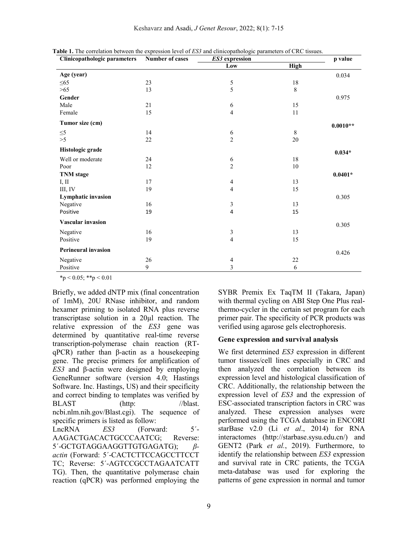| Clinicopathologic parameters | Number of cases | ES3 expression                        |             | p value    |
|------------------------------|-----------------|---------------------------------------|-------------|------------|
|                              |                 | Low                                   | <b>High</b> |            |
| Age (year)                   |                 |                                       |             | 0.034      |
| $\leq 65$                    | 23              | $\sqrt{5}$                            | $18\,$      |            |
| $>65$                        | 13              | 5                                     | 8           |            |
| Gender                       |                 |                                       |             | 0.975      |
| Male                         | 21              | 6                                     | 15          |            |
| Female                       | 15              | $\overline{4}$                        | 11          |            |
| Tumor size (cm)              |                 |                                       |             | $0.0010**$ |
| $\leq 5$                     | 14              |                                       | $\,8\,$     |            |
| >5                           | 22              | $\begin{array}{c} 6 \\ 2 \end{array}$ | $20\,$      |            |
| Histologic grade             |                 |                                       |             | $0.034*$   |
| Well or moderate             | 24              | 6                                     | $18\,$      |            |
| Poor                         | 12              | $\overline{c}$                        | $10\,$      |            |
| <b>TNM</b> stage             |                 |                                       |             | $0.0401*$  |
| I, II                        | $17\,$          | $\overline{\mathcal{A}}$              | 13          |            |
| III, IV                      | 19              | $\overline{4}$                        | 15          |            |
| <b>Lymphatic invasion</b>    |                 |                                       |             | 0.305      |
| Negative                     | 16              | 3                                     | 13          |            |
| Positive                     | 19              | $\overline{\mathbf{4}}$               | 15          |            |
| <b>Vascular invasion</b>     |                 |                                       |             | 0.305      |
| Negative                     | 16              | 3                                     | 13          |            |
| Positive                     | 19              | $\overline{\mathcal{L}}$              | 15          |            |
| <b>Perineural invasion</b>   |                 |                                       |             | 0.426      |
| Negative                     | 26              | 4                                     | $22\,$      |            |
| Positive                     | 9               | 3                                     | 6           |            |

**Table 1.** The correlation between the expression level of *ES3* and clinicopathologic parameters of CRC tissues.

 $*_p$  < 0.05;  $*_p$  < 0.01

Briefly, we added dNTP mix (final concentration of 1mM), 20U RNase inhibitor, and random hexamer priming to isolated RNA plus reverse transcriptase solution in a 20µl reaction. The relative expression of the *ES3* gene was determined by quantitative real-time reverse transcription-polymerase chain reaction (RTqPCR) rather than β-actin as a housekeeping gene. The precise primers for amplification of *ES3* and β-actin were designed by employing GeneRunner software (version 4.0; Hastings Software. Inc. Hastings, US) and their specificity and correct binding to templates was verified by BLAST (http: //blast. ncbi.nlm.nih.gov/Blast.cgi). The sequence of specific primers is listed as follow:

LncRNA *ES3* (Forward: 5´- AAGACTGACACTGCCCAATCG; Reverse: 5´-GCTGTAGGAAGGTTGTGAGATG); *βactin* (Forward: 5´-CACTCTTCCAGCCTTCCT TC; Reverse: 5´-AGTCCGCCTAGAATCATT TG). Then, the quantitative polymerase chain reaction (qPCR) was performed employing the

SYBR Premix Ex TaqTM II (Takara, Japan) with thermal cycling on ABI Step One Plus realthermo-cycler in the certain set program for each primer pair. The specificity of PCR products was verified using agarose gels electrophoresis.

#### **Gene expression and survival analysis**

We first determined *ES3* expression in different tumor tissues/cell lines especially in CRC and then analyzed the correlation between its expression level and histological classification of CRC. Additionally, the relationship between the expression level of *ES3* and the expression of ESC-associated transcription factors in CRC was analyzed. These expression analyses were performed using the TCGA database in ENCORI starBase v2.0 (Li *et al*., 2014) for RNA interactomes (http://starbase.sysu.edu.cn/) and GENT2 (Park *et al.*, 2019). Furthermore, to identify the relationship between *ES3* expression and survival rate in CRC patients, the TCGA meta-database was used for exploring the patterns of gene expression in normal and tumor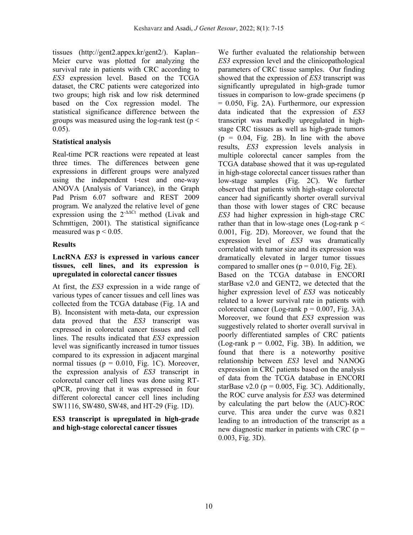tissues (http://gent2.appex.kr/gent2/). Kaplan– Meier curve was plotted for analyzing the survival rate in patients with CRC according to *ES3* expression level. Based on the TCGA dataset, the CRC patients were categorized into two groups; high risk and low risk determined based on the Cox regression model. The statistical significance difference between the groups was measured using the log-rank test ( $p <$ 0.05).

# **Statistical analysis**

Real-time PCR reactions were repeated at least three times. The differences between gene expressions in different groups were analyzed using the independent t-test and one-way ANOVA (Analysis of Variance), in the Graph Pad Prism 6.07 software and REST 2009 program. We analyzed the relative level of gene expression using the  $2^{-\Delta\Delta Ct}$  method (Livak and Schmttigen, 2001). The statistical significance measured was  $p < 0.05$ .

# **Results**

#### **LncRNA** *ES3* **is expressed in various cancer tissues, cell lines, and its expression is upregulated in colorectal cancer tissues**

At first, the *ES3* expression in a wide range of various types of cancer tissues and cell lines was collected from the TCGA database (Fig. 1A and B). Inconsistent with meta-data, our expression data proved that the *ES3* transcript was expressed in colorectal cancer tissues and cell lines. The results indicated that *ES3* expression level was significantly increased in tumor tissues compared to its expression in adjacent marginal normal tissues ( $p = 0.010$ , Fig. 1C). Moreover, the expression analysis of *ES3* transcript in colorectal cancer cell lines was done using RTqPCR, proving that it was expressed in four different colorectal cancer cell lines including SW1116, SW480, SW48, and HT-29 (Fig. 1D).

#### **ES3 transcript is upregulated in high-grade and high-stage colorectal cancer tissues**

We further evaluated the relationship between *ES3* expression level and the clinicopathological parameters of CRC tissue samples. Our finding showed that the expression of *ES3* transcript was significantly upregulated in high-grade tumor tissues in comparison to low-grade specimens (p  $= 0.050$ , Fig. 2A). Furthermore, our expression data indicated that the expression of *ES3* transcript was markedly upregulated in highstage CRC tissues as well as high-grade tumors  $(p = 0.04, Fig. 2B)$ . In line with the above results, *ES3* expression levels analysis in multiple colorectal cancer samples from the TCGA database showed that it was up-regulated in high-stage colorectal cancer tissues rather than low-stage samples (Fig. 2C). We further observed that patients with high-stage colorectal cancer had significantly shorter overall survival than those with lower stages of CRC because *ES3* had higher expression in high-stage CRC rather than that in low-stage ones (Log-rank  $p <$ 0.001, Fig. 2D). Moreover, we found that the expression level of *ES3* was dramatically correlated with tumor size and its expression was dramatically elevated in larger tumor tissues compared to smaller ones ( $p = 0.010$ , Fig. 2E). Based on the TCGA database in ENCORI starBase v2.0 and GENT2, we detected that the higher expression level of *ES3* was noticeably related to a lower survival rate in patients with colorectal cancer (Log-rank  $p = 0.007$ , Fig. 3A). Moreover, we found that *ES3* expression was suggestively related to shorter overall survival in poorly differentiated samples of CRC patients (Log-rank  $p = 0.002$ , Fig. 3B). In addition, we found that there is a noteworthy positive relationship between *ES3* level and NANOG expression in CRC patients based on the analysis of data from the TCGA database in ENCORI starBase v2.0 ( $p = 0.005$ , Fig. 3C). Additionally, the ROC curve analysis for *ES3* was determined by calculating the part below the (AUC)-ROC curve. This area under the curve was 0.821 leading to an introduction of the transcript as a new diagnostic marker in patients with CRC ( $p =$ 0.003, Fig. 3D).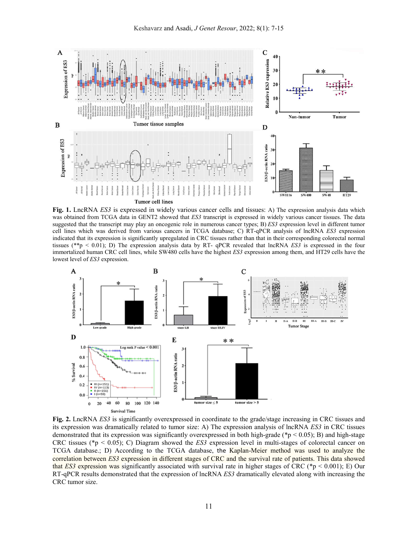

**Fig. 1.** LncRNA *ES3* is expressed in widely various cancer cells and tissues: A) The expression analysis data which was obtained from TCGA data in GENT2 showed that *ES3* transcript is expressed in widely various cancer tissues. The data suggested that the transcript may play an oncogenic role in numerous cancer types; B) *ES3* expression level in different tumor cell lines which was derived from various cancers in TCGA database; C) RT-qPCR analysis of lncRNA *ES3* expression indicated that its expression is significantly upregulated in CRC tissues rather than that in their corresponding colorectal normal tissues (\*\*p < 0.01); D) The expression analysis data by RT- qPCR revealed that lncRNA *ES3* is expressed in the four immortalized human CRC cell lines, while SW480 cells have the highest *ES3* expression among them, and HT29 cells have the lowest level of *ES3* expression.



**Fig. 2.** LncRNA *ES3* is significantly overexpressed in coordinate to the grade/stage increasing in CRC tissues and its expression was dramatically related to tumor size: A) The expression analysis of lncRNA *ES3* in CRC tissues demonstrated that its expression was significantly overexpressed in both high-grade ( $\approx$  0.05); B) and high-stage CRC tissues (\*p < 0.05); C) Diagram showed the *ES3* expression level in multi-stages of colorectal cancer on TCGA database.; D) According to the TCGA database, the Kaplan-Meier method was used to analyze the correlation between *ES3* expression in different stages of CRC and the survival rate of patients. This data showed that *ES3* expression was significantly associated with survival rate in higher stages of CRC (\*p < 0.001); E) Our RT-qPCR results demonstrated that the expression of lncRNA *ES3* dramatically elevated along with increasing the CRC tumor size.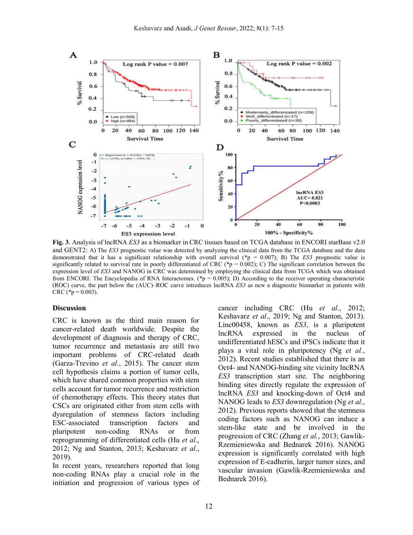

**Fig. 3**. Analysis of lncRNA *ES3* as a biomarker in CRC tissues based on TCGA database in ENCORI starBase v2.0 and GENT2: A) The *ES3* prognostic value was detected by analyzing the clinical data from the TCGA database and the data demonstrated that it has a significant relationship with overall survival (\*p = 0.007); B) The *ES3* prognostic value is significantly related to survival rate in poorly differentiated of CRC (\*p = 0.002); C) The significant correlation between the expression level of *ES3* and NANOG in CRC was determined by employing the clinical data from TCGA which was obtained from ENCORI: The Encyclopedia of RNA Interactomes. (\*p = 0.005); D) According to the receiver operating characteristic (ROC) curve, the part below the (AUC)–ROC curve introduces lncRNA *ES3* as new a diagnostic biomarker in patients with CRC (\* $p = 0.003$ ).

#### **Discussion**

CRC is known as the third main reason for cancer-related death worldwide. Despite the development of diagnosis and therapy of CRC, tumor recurrence and metastasis are still two important problems of CRC-related death (Garza-Trevino *et al.*, 2015). The cancer stem cell hypothesis claims a portion of tumor cells, which have shared common properties with stem cells account for tumor recurrence and restriction of chemotherapy effects. This theory states that CSCs are originated either from stem cells with dysregulation of stemness factors including ESC-associated transcription factors and pluripotent non-coding RNAs or from reprogramming of differentiated cells (Hu *et al*., 2012; Ng and Stanton, 2013; Keshavarz *et al*., 2019).

In recent years, researchers reported that long non-coding RNAs play a crucial role in the initiation and progression of various types of

cancer including CRC (Hu *et al*., 2012; Keshavarz *et al*., 2019; Ng and Stanton, 2013). Linc00458, known as *ES3*, is a pluripotent lncRNA expressed in the nucleus of undifferentiated hESCs and iPSCs indicate that it plays a vital role in pluripotency (Ng *et al.*, 2012). Recent studies established that there is an Oct4- and NANOG-binding site vicinity lncRNA *ES3* transcription start site. The neighboring binding sites directly regulate the expression of lncRNA *ES3* and knocking-down of Oct4 and NANOG leads to *ES3* downregulation (Ng *et al.*, 2012). Previous reports showed that the stemness coding factors such as NANOG can induce a stem-like state and be involved in the progression of CRC (Zhang *et al.*, 2013; Gawlik-Rzemieniewska and Bednarek 2016). NANOG expression is significantly correlated with high expression of E-cadherin, larger tumor sizes, and vascular invasion (Gawlik-Rzemieniewska and Bednarek 2016).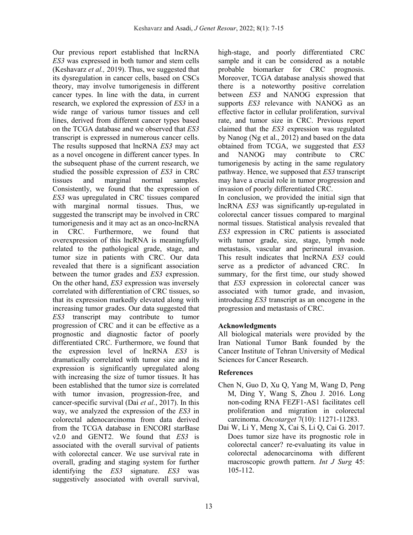Our previous report established that lncRNA *ES3* was expressed in both tumor and stem cells (Keshavarz *et al.,* 2019). Thus, we suggested that its dysregulation in cancer cells, based on CSCs theory, may involve tumorigenesis in different cancer types. In line with the data, in current research, we explored the expression of *ES3* in a wide range of various tumor tissues and cell lines, derived from different cancer types based on the TCGA database and we observed that *ES3* transcript is expressed in numerous cancer cells. The results supposed that lncRNA *ES3* may act as a novel oncogene in different cancer types. In the subsequent phase of the current research, we studied the possible expression of *ES3* in CRC tissues and marginal normal samples. Consistently, we found that the expression of *ES3* was upregulated in CRC tissues compared with marginal normal tissues. Thus, we suggested the transcript may be involved in CRC tumorigenesis and it may act as an onco-lncRNA in CRC. Furthermore, we found that overexpression of this lncRNA is meaningfully related to the pathological grade, stage, and tumor size in patients with CRC. Our data revealed that there is a significant association between the tumor grades and *ES3* expression. On the other hand, *ES3* expression was inversely correlated with differentiation of CRC tissues, so that its expression markedly elevated along with increasing tumor grades. Our data suggested that *ES3* transcript may contribute to tumor progression of CRC and it can be effective as a prognostic and diagnostic factor of poorly differentiated CRC. Furthermore, we found that the expression level of lncRNA *ES3* is dramatically correlated with tumor size and its expression is significantly upregulated along with increasing the size of tumor tissues. It has been established that the tumor size is correlated with tumor invasion, progression-free, and cancer-specific survival (Dai *et al.*, 2017). In this way, we analyzed the expression of the *ES3* in colorectal adenocarcinoma from data derived from the TCGA database in ENCORI starBase v2.0 and GENT2. We found that *ES3* is associated with the overall survival of patients with colorectal cancer. We use survival rate in overall, grading and staging system for further identifying the *ES3* signature. *ES3* was suggestively associated with overall survival,

high-stage, and poorly differentiated CRC sample and it can be considered as a notable probable biomarker for CRC prognosis. Moreover, TCGA database analysis showed that there is a noteworthy positive correlation between *ES3* and NANOG expression that supports *ES3* relevance with NANOG as an effective factor in cellular proliferation, survival rate, and tumor size in CRC. Previous report claimed that the *ES3* expression was regulated by Nanog (Ng et al., 2012) and based on the data obtained from TCGA, we suggested that *ES3* and NANOG may contribute to CRC tumorigenesis by acting in the same regulatory pathway. Hence, we supposed that *ES3* transcript may have a crucial role in tumor progression and invasion of poorly differentiated CRC.

In conclusion, we provided the initial sign that lncRNA *ES3* was significantly up-regulated in colorectal cancer tissues compared to marginal normal tissues. Statistical analysis revealed that *ES3* expression in CRC patients is associated with tumor grade, size, stage, lymph node metastasis, vascular and perineural invasion. This result indicates that lncRNA *ES3* could serve as a predictor of advanced CRC. In summary, for the first time, our study showed that *ES3* expression in colorectal cancer was associated with tumor grade, and invasion, introducing *ES3* transcript as an oncogene in the progression and metastasis of CRC.

# **Acknowledgments**

All biological materials were provided by the Iran National Tumor Bank founded by the Cancer Institute of Tehran University of Medical Sciences for Cancer Research.

# **References**

- Chen N, Guo D, Xu Q, Yang M, Wang D, Peng M, Ding Y, Wang S, Zhou J. 2016. Long non-coding RNA FEZF1-AS1 facilitates cell proliferation and migration in colorectal carcinoma. *Oncotarget* 7(10): 11271-11283.
- Dai W, Li Y, Meng X, Cai S, Li Q, Cai G. 2017. Does tumor size have its prognostic role in colorectal cancer? re-evaluating its value in colorectal adenocarcinoma with different macroscopic growth pattern. *Int J Surg* 45: 105-112.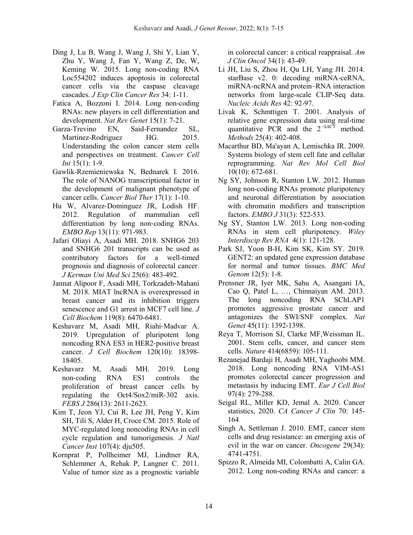- Ding J, Lu B, Wang J, Wang J, Shi Y, Lian Y, Zhu Y, Wang J, Fan Y, Wang Z, De, W, Keming W. 2015. Long non-coding RNA Loc554202 induces apoptosis in colorectal cancer cells via the caspase cleavage cascades. *J Exp Clin Cancer Res* 34: 1-11.
- Fatica A, Bozzoni I. 2014. Long non-coding RNAs: new players in cell differentiation and development. *Nat Rev Genet* 15(1): 7-21.
- Garza-Trevino EN, Said-Fernandez SL, Martinez-Rodriguez HG. 2015. Understanding the colon cancer stem cells and perspectives on treatment. *Cancer Cell Int* 15(1): 1-9.
- Gawlik-Rzemieniewska N, Bednarek I. 2016. The role of NANOG transcriptional factor in the development of malignant phenotype of cancer cells. *Cancer Biol Ther* 17(1): 1-10.
- Hu W, Alvarez‐Dominguez JR, Lodish HF. 2012. Regulation of mammalian cell differentiation by long non‐coding RNAs. *EMBO Rep* 13(11): 971-983.
- Jafari Oliayi A, Asadi MH. 2018. SNHG6 203 and SNHG6 201 transcripts can be used as contributory factors for a well-timed prognosis and diagnosis of colorectal cancer. *J Kerman Uni Med Sci* 25(6): 483-492.
- Jannat Alipoor F, Asadi MH, Torkzadeh‐Mahani M. 2018. MIAT lncRNA is overexpressed in breast cancer and its inhibition triggers senescence and G1 arrest in MCF7 cell line. *J Cell Biochem* 119(8): 6470-6481.
- Keshavarz M, Asadi MH, Riahi‐Madvar A. 2019. Upregulation of pluripotent long noncoding RNA ES3 in HER2‐positive breast cancer. *J Cell Biochem* 120(10): 18398- 18405.
- Keshavarz M, Asadi MH. 2019. Long non‐coding RNA ES1 controls the proliferation of breast cancer cells by regulating the Oct4/Sox2/miR‐302 axis. *FEBS J* 286(13): 2611-2623.
- Kim T, Jeon YJ, Cui R, Lee JH, Peng Y, Kim SH, Tili S, Alder H, Croce CM*.* 2015. Role of MYC-regulated long noncoding RNAs in cell cycle regulation and tumorigenesis. *J Natl Cancer Inst* 107(4): dju505.
- Kornprat P, Pollheimer MJ, Lindtner RA, Schlemmer A, Rehak P, Langner C. 2011. Value of tumor size as a prognostic variable

in colorectal cancer: a critical reappraisal. *Am J Clin Oncol* 34(1): 43-49.

- Li JH, Liu S, Zhou H, Qu LH, Yang JH. 2014. starBase v2. 0: decoding miRNA-ceRNA, miRNA-ncRNA and protein–RNA interaction networks from large-scale CLIP-Seq data. *Nucleic Acids Res* 42: 92-97.
- Livak K, Schmttigen T. 2001. Analysis of relative gene expression data using real-time quantitative PCR and the  $2^{-\Delta\Delta CT}$  method. *Methods* 25(4): 402-408.
- Macarthur BD, Ma'ayan A, Lemischka IR. 2009. Systems biology of stem cell fate and cellular reprogramming. *Nat Rev Mol Cell Biol* 10(10): 672-681.
- Ng SY, Johnson R, Stanton LW. 2012. Human long non-coding RNAs promote pluripotency and neuronal differentiation by association with chromatin modifiers and transcription factors. *EMBO J* 31(3): 522-533.
- Ng SY, Stanton LW. 2013. Long non-coding RNAs in stem cell pluripotency. *Wiley Interdiscip Rev RNA* 4(1): 121-128.
- Park SJ, Yoon B-H, Kim SK, Kim SY. 2019. GENT2: an updated gene expression database for normal and tumor tissues. *BMC Med Genom* 12(5): 1-8.
- Prensner JR, Iyer MK, Sahu A, Asangani IA, Cao Q, Patel L, …, Chinnaiyan AM. 2013. The long noncoding RNA SChLAP1 promotes aggressive prostate cancer and antagonizes the SWI/SNF complex. *Nat Genet* 45(11): 1392-1398.
- Reya T, Morrison SJ, Clarke MF,Weissman IL. 2001. Stem cells, cancer, and cancer stem cells. *Nature* 414(6859): 105-111.
- Rezanejad Bardaji H, Asadi MH, Yaghoobi MM. 2018. Long noncoding RNA VIM-AS1 promotes colorectal cancer progression and metastasis by inducing EMT. *Eur J Cell Biol* 97(4): 279-288.
- Seigal RL, Miller KD, Jemal A. 2020. Cancer statistics, 2020. *CA Cancer J Clin* 70: 145- 164
- Singh A, Settleman J. 2010. EMT, cancer stem cells and drug resistance: an emerging axis of evil in the war on cancer. *Oncogene* 29(34): 4741-4751.
- Spizzo R, Almeida MI, Colombatti A, Calin GA. 2012. Long non-coding RNAs and cancer: a